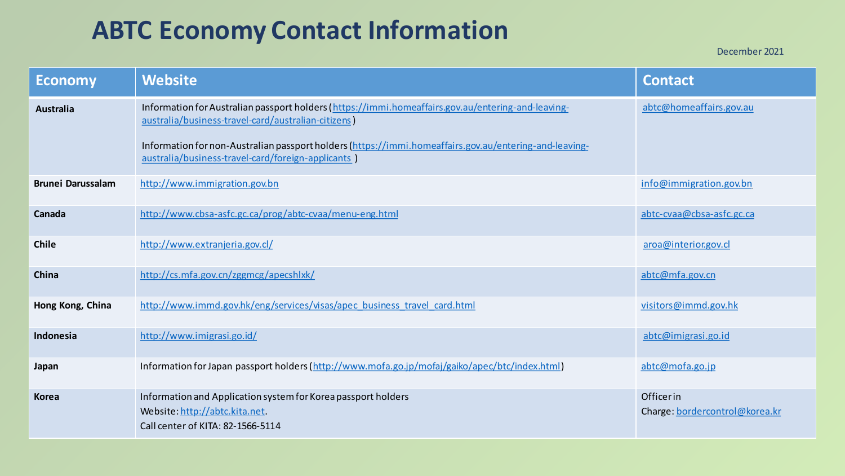## **ABTC Economy Contact Information**

December 2021

| <b>Economy</b>           | <b>Website</b>                                                                                                                                                                                                                                                                                                            | <b>Contact</b>                              |
|--------------------------|---------------------------------------------------------------------------------------------------------------------------------------------------------------------------------------------------------------------------------------------------------------------------------------------------------------------------|---------------------------------------------|
| Australia                | Information for Australian passport holders (https://immi.homeaffairs.gov.au/entering-and-leaving-<br>australia/business-travel-card/australian-citizens )<br>Information for non-Australian passport holders (https://immi.homeaffairs.gov.au/entering-and-leaving-<br>australia/business-travel-card/foreign-applicants | abtc@homeaffairs.gov.au                     |
| <b>Brunei Darussalam</b> | http://www.immigration.gov.bn                                                                                                                                                                                                                                                                                             | info@immigration.gov.bn                     |
| Canada                   | http://www.cbsa-asfc.gc.ca/prog/abtc-cvaa/menu-eng.html                                                                                                                                                                                                                                                                   | abtc-cvaa@cbsa-asfc.gc.ca                   |
| <b>Chile</b>             | http://www.extranjeria.gov.cl/                                                                                                                                                                                                                                                                                            | aroa@interior.gov.cl                        |
| China                    | http://cs.mfa.gov.cn/zggmcg/apecshlxk/                                                                                                                                                                                                                                                                                    | abtc@mfa.gov.cn                             |
| Hong Kong, China         | http://www.immd.gov.hk/eng/services/visas/apec business travel card.html                                                                                                                                                                                                                                                  | visitors@immd.gov.hk                        |
| Indonesia                | http://www.imigrasi.go.id/                                                                                                                                                                                                                                                                                                | abtc@imigrasi.go.id                         |
| Japan                    | Information for Japan passport holders (http://www.mofa.go.jp/mofaj/gaiko/apec/btc/index.html)                                                                                                                                                                                                                            | abtc@mofa.go.jp                             |
| <b>Korea</b>             | Information and Application system for Korea passport holders<br>Website: http://abtc.kita.net.<br>Call center of KITA: 82-1566-5114                                                                                                                                                                                      | Officerin<br>Charge: bordercontrol@korea.kr |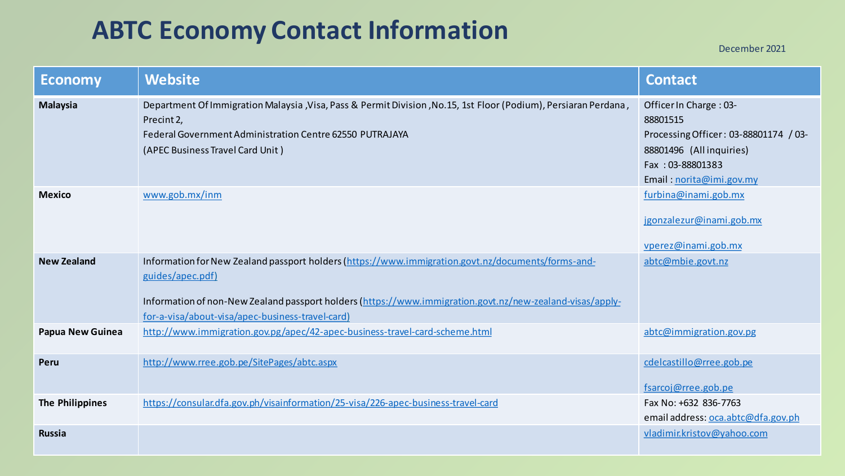## **ABTC Economy Contact Information**

December 2021

| <b>Economy</b>          | <b>Website</b>                                                                                                                                                                                                                                                                          | <b>Contact</b>                                                                                                                                         |
|-------------------------|-----------------------------------------------------------------------------------------------------------------------------------------------------------------------------------------------------------------------------------------------------------------------------------------|--------------------------------------------------------------------------------------------------------------------------------------------------------|
| <b>Malaysia</b>         | Department Of Immigration Malaysia , Visa, Pass & Permit Division , No.15, 1st Floor (Podium), Persiaran Perdana,<br>Precint 2,<br>Federal Government Administration Centre 62550 PUTRAJAYA<br>(APEC Business Travel Card Unit)                                                         | Officer In Charge: 03-<br>88801515<br>Processing Officer: 03-88801174 / 03-<br>88801496 (Allinquiries)<br>Fax: 03-88801383<br>Email: norita@imi.gov.my |
| <b>Mexico</b>           | www.gob.mx/inm                                                                                                                                                                                                                                                                          | furbina@inami.gob.mx<br>jgonzalezur@inami.gob.mx<br>vperez@inami.gob.mx                                                                                |
| <b>New Zealand</b>      | Information for New Zealand passport holders (https://www.immigration.govt.nz/documents/forms-and-<br>guides/apec.pdf)<br>Information of non-New Zealand passport holders (https://www.immigration.govt.nz/new-zealand-visas/apply-<br>for-a-visa/about-visa/apec-business-travel-card) | abtc@mbie.govt.nz                                                                                                                                      |
| <b>Papua New Guinea</b> | http://www.immigration.gov.pg/apec/42-apec-business-travel-card-scheme.html                                                                                                                                                                                                             | abtc@immigration.gov.pg                                                                                                                                |
| Peru                    | http://www.rree.gob.pe/SitePages/abtc.aspx                                                                                                                                                                                                                                              | cdelcastillo@rree.gob.pe<br>fsarcoj@rree.gob.pe                                                                                                        |
| <b>The Philippines</b>  | https://consular.dfa.gov.ph/visainformation/25-visa/226-apec-business-travel-card                                                                                                                                                                                                       | Fax No: +632 836-7763<br>email address: oca.abtc@dfa.gov.ph                                                                                            |
| <b>Russia</b>           |                                                                                                                                                                                                                                                                                         | vladimir.kristov@yahoo.com                                                                                                                             |